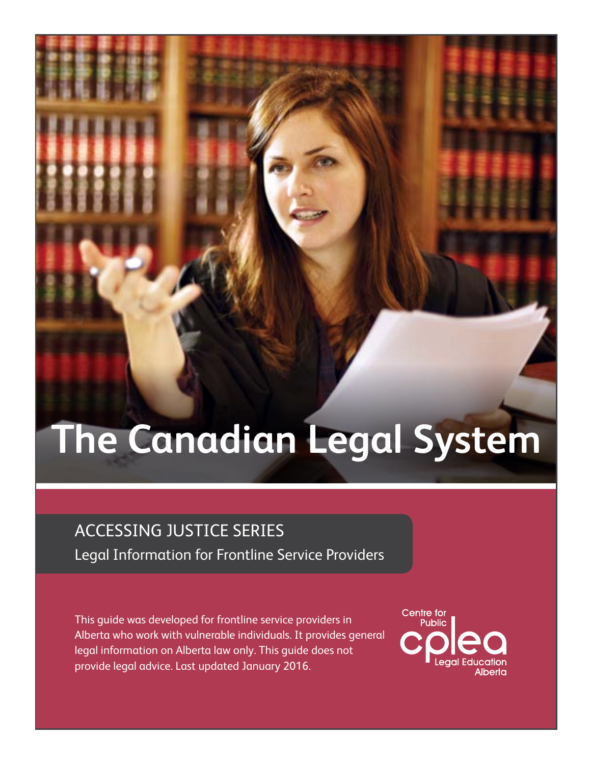# **The Canadian Legal System**

# ACCESSING JUSTICE Series

Legal Information for Frontline Service Providers

This guide was developed for frontline service providers in Alberta who work with vulnerable individuals. It provides general legal information on Alberta law only. This guide does not provide legal advice. Last updated January 2016.

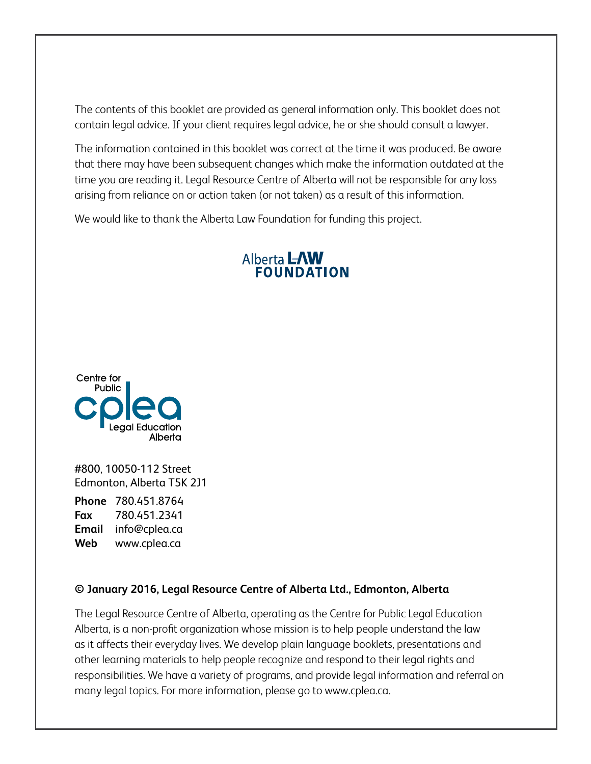The contents of this booklet are provided as general information only. This booklet does not contain legal advice. If your client requires legal advice, he or she should consult a lawyer.

The information contained in this booklet was correct at the time it was produced. Be aware that there may have been subsequent changes which make the information outdated at the time you are reading it. Legal Resource Centre of Alberta will not be responsible for any loss arising from reliance on or action taken (or not taken) as a result of this information.

We would like to thank the Alberta Law Foundation for funding this project.

# **Alberta LAW<br>FOUNDATION**



#800, 10050-112 Street Edmonton, Alberta T5K 2J1

**Phone** 780.451.8764 **Fax** 780.451.2341 **Email** info@cplea.ca **Web** www.cplea.ca

#### **© January 2016, Legal Resource Centre of Alberta Ltd., Edmonton, Alberta**

The Legal Resource Centre of Alberta, operating as the Centre for Public Legal Education Alberta, is a non-profit organization whose mission is to help people understand the law as it affects their everyday lives. We develop plain language booklets, presentations and other learning materials to help people recognize and respond to their legal rights and responsibilities. We have a variety of programs, and provide legal information and referral on many legal topics. For more information, please go to www.cplea.ca.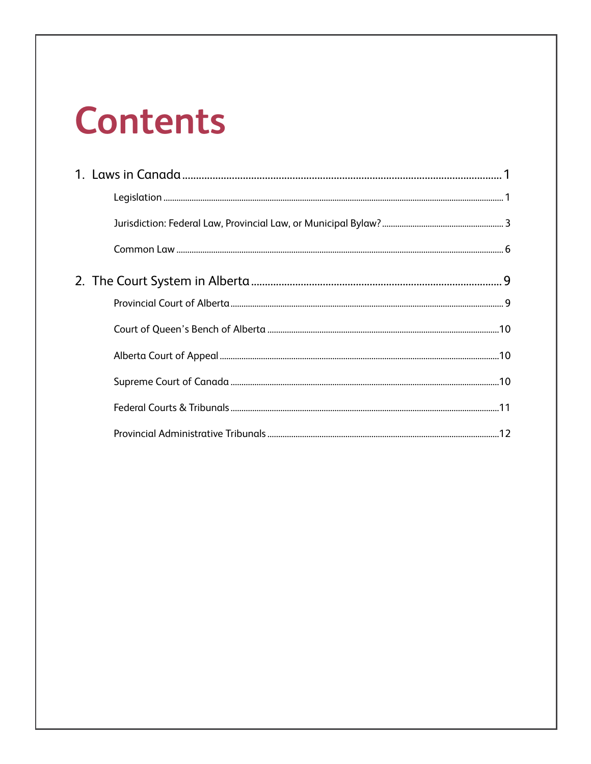# **Contents**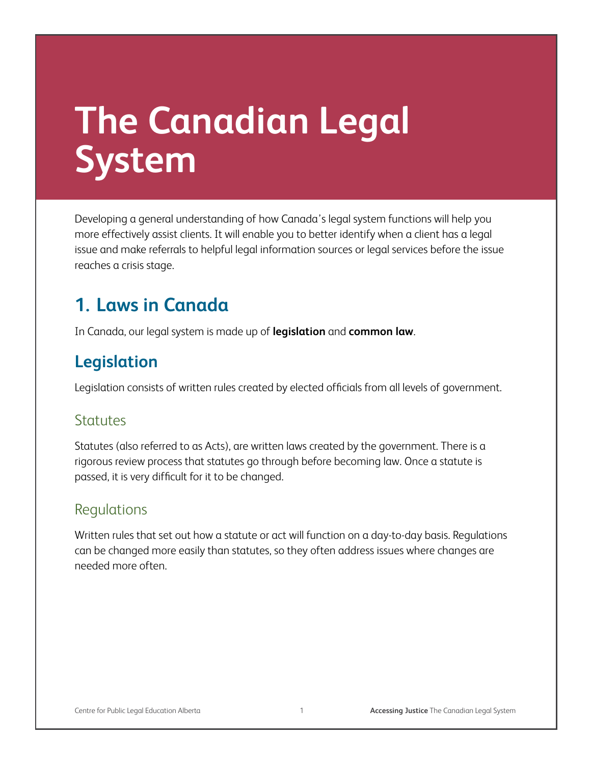# **The Canadian Legal System**

Developing a general understanding of how Canada's legal system functions will help you more effectively assist clients. It will enable you to better identify when a client has a legal issue and make referrals to helpful legal information sources or legal services before the issue reaches a crisis stage.

# **1. Laws in Canada**

In Canada, our legal system is made up of **legislation** and **common law**.

### **Legislation**

Legislation consists of written rules created by elected officials from all levels of government.

#### Statutes

Statutes (also referred to as Acts), are written laws created by the government. There is a rigorous review process that statutes go through before becoming law. Once a statute is passed, it is very difficult for it to be changed.

#### Regulations

Written rules that set out how a statute or act will function on a day-to-day basis. Regulations can be changed more easily than statutes, so they often address issues where changes are needed more often.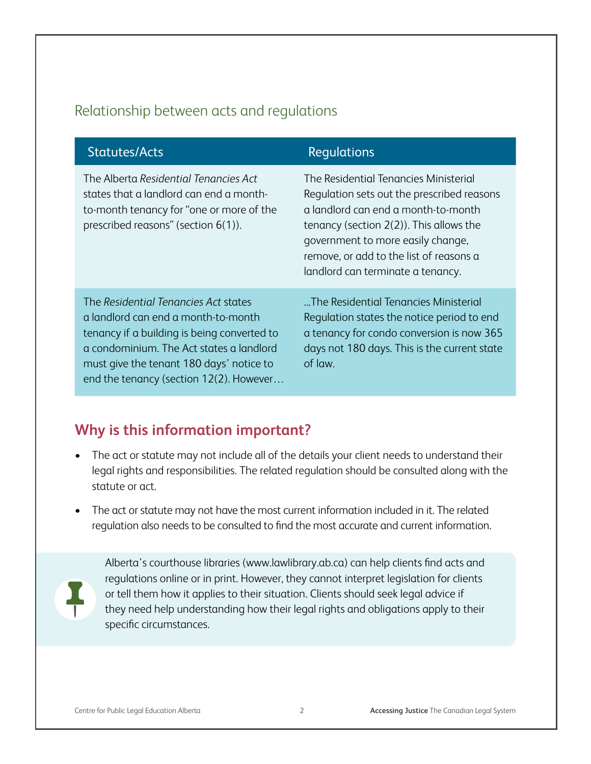#### Relationship between acts and regulations

| <b>Statutes/Acts</b>                                                                                                                                                                                                                                          | Regulations                                                                                                                                                                                                                                                                                   |
|---------------------------------------------------------------------------------------------------------------------------------------------------------------------------------------------------------------------------------------------------------------|-----------------------------------------------------------------------------------------------------------------------------------------------------------------------------------------------------------------------------------------------------------------------------------------------|
| The Alberta Residential Tenancies Act<br>states that a landlord can end a month-<br>to-month tenancy for "one or more of the<br>prescribed reasons" (section $6(1)$ ).                                                                                        | The Residential Tenancies Ministerial<br>Regulation sets out the prescribed reasons<br>a landlord can end a month-to-month<br>tenancy (section $2(2)$ ). This allows the<br>government to more easily change,<br>remove, or add to the list of reasons a<br>landlord can terminate a tenancy. |
| The Residential Tenancies Act states<br>a landlord can end a month-to-month<br>tenancy if a building is being converted to<br>a condominium. The Act states a landlord<br>must give the tenant 180 days' notice to<br>end the tenancy (section 12(2). However | "The Residential Tenancies Ministerial<br>Regulation states the notice period to end<br>a tenancy for condo conversion is now 365<br>days not 180 days. This is the current state<br>of law.                                                                                                  |

#### **Why is this information important?**

- The act or statute may not include all of the details your client needs to understand their legal rights and responsibilities. The related regulation should be consulted along with the statute or act.
- The act or statute may not have the most current information included in it. The related regulation also needs to be consulted to find the most accurate and current information.



Alberta's courthouse libraries (www.lawlibrary.ab.ca) can help clients find acts and regulations online or in print. However, they cannot interpret legislation for clients or tell them how it applies to their situation. Clients should seek legal advice if they need help understanding how their legal rights and obligations apply to their specific circumstances.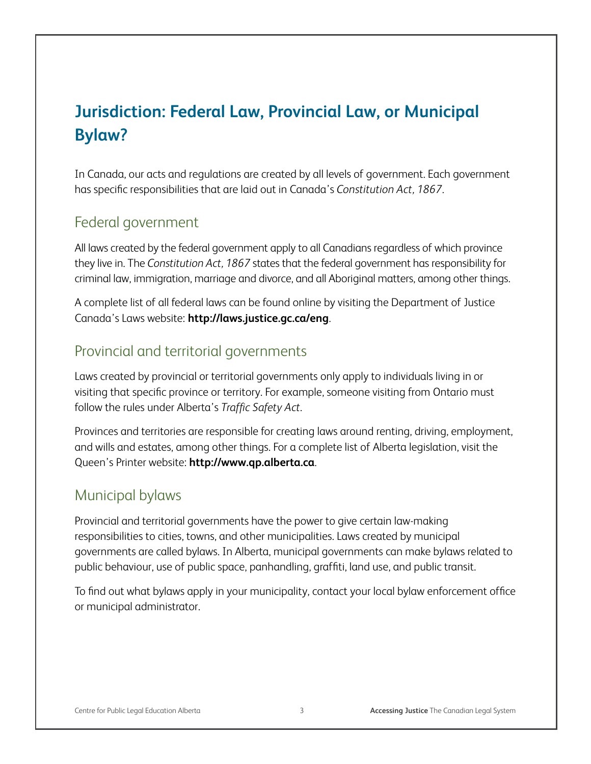# **Jurisdiction: Federal Law, Provincial Law, or Municipal Bylaw?**

In Canada, our acts and regulations are created by all levels of government. Each government has specific responsibilities that are laid out in Canada's *Constitution Act, 1867*.

#### Federal government

All laws created by the federal government apply to all Canadians regardless of which province they live in. The *Constitution Act, 1867* states that the federal government has responsibility for criminal law, immigration, marriage and divorce, and all Aboriginal matters, among other things.

A complete list of all federal laws can be found online by visiting the Department of Justice Canada's Laws website: **http://laws.justice.gc.ca/eng**.

#### Provincial and territorial governments

Laws created by provincial or territorial governments only apply to individuals living in or visiting that specific province or territory. For example, someone visiting from Ontario must follow the rules under Alberta's *Traffic Safety Act*.

Provinces and territories are responsible for creating laws around renting, driving, employment, and wills and estates, among other things. For a complete list of Alberta legislation, visit the Queen's Printer website: **http://www.qp.alberta.ca**.

#### Municipal bylaws

Provincial and territorial governments have the power to give certain law-making responsibilities to cities, towns, and other municipalities. Laws created by municipal governments are called bylaws. In Alberta, municipal governments can make bylaws related to public behaviour, use of public space, panhandling, graffiti, land use, and public transit.

To find out what bylaws apply in your municipality, contact your local bylaw enforcement office or municipal administrator.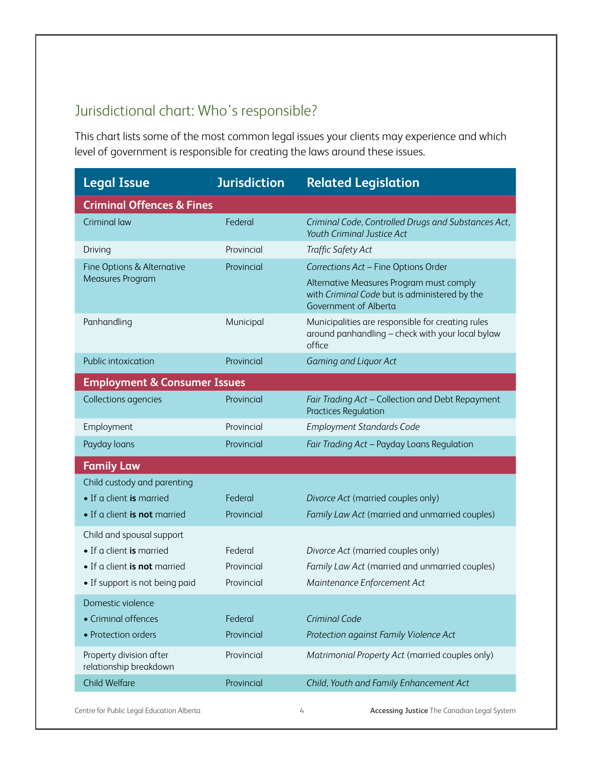#### Jurisdictional chart: Who's responsible?

This chart lists some of the most common legal issues your clients may experience and which level of government is responsible for creating the laws around these issues.

| <b>Legal Issue</b>                                | <b>Jurisdiction</b> | <b>Related Legislation</b>                                                                                         |
|---------------------------------------------------|---------------------|--------------------------------------------------------------------------------------------------------------------|
| <b>Criminal Offences &amp; Fines</b>              |                     |                                                                                                                    |
| <b>Criminal law</b>                               | Federal             | Criminal Code, Controlled Drugs and Substances Act,<br>Youth Criminal Justice Act                                  |
| Driving                                           | Provincial          | Traffic Safety Act                                                                                                 |
| Fine Options & Alternative                        | Provincial          | Corrections Act - Fine Options Order                                                                               |
| Measures Program                                  |                     | Alternative Measures Program must comply<br>with Criminal Code but is administered by the<br>Government of Alberta |
| Panhandling                                       | Municipal           | Municipalities are responsible for creating rules<br>around panhandling - check with your local bylaw<br>office    |
| Public intoxication                               | Provincial          | Gaming and Liquor Act                                                                                              |
| <b>Employment &amp; Consumer Issues</b>           |                     |                                                                                                                    |
| Collections agencies                              | Provincial          | Fair Trading Act - Collection and Debt Repayment<br><b>Practices Regulation</b>                                    |
| Employment                                        | Provincial          | <b>Employment Standards Code</b>                                                                                   |
| Payday loans                                      | Provincial          | Fair Trading Act - Payday Loans Regulation                                                                         |
| <b>Family Law</b>                                 |                     |                                                                                                                    |
| Child custody and parenting                       |                     |                                                                                                                    |
| • If a client is married                          | Federal             | Divorce Act (married couples only)                                                                                 |
| • If a client is not married                      | Provincial          | Family Law Act (married and unmarried couples)                                                                     |
| Child and spousal support                         |                     |                                                                                                                    |
| • If a client is married                          | Federal             | Divorce Act (married couples only)                                                                                 |
| • If a client is not married                      | Provincial          | Family Law Act (married and unmarried couples)                                                                     |
| • If support is not being paid                    | Provincial          | Maintenance Enforcement Act                                                                                        |
| Domestic violence                                 |                     |                                                                                                                    |
| • Criminal offences                               | Federal             | <b>Criminal Code</b>                                                                                               |
| • Protection orders                               | Provincial          | Protection against Family Violence Act                                                                             |
| Property division after<br>relationship breakdown | Provincial          | Matrimonial Property Act (married couples only)                                                                    |
| <b>Child Welfare</b>                              | Provincial          | Child, Youth and Family Enhancement Act                                                                            |

Centre for Public Legal Education Alberta **4** Accessing Justice The Canadian Legal System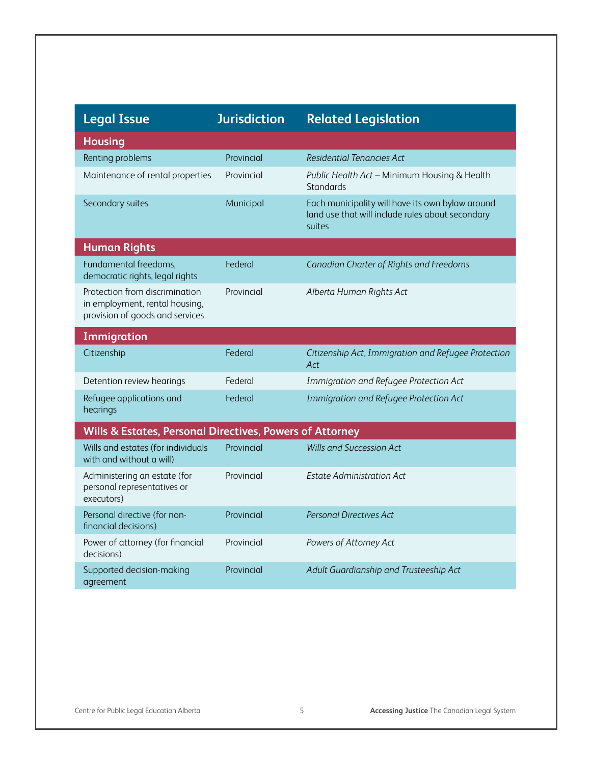| <b>Legal Issue</b>                                                                                  | <b>Jurisdiction</b> | <b>Related Legislation</b>                                                                                     |  |  |
|-----------------------------------------------------------------------------------------------------|---------------------|----------------------------------------------------------------------------------------------------------------|--|--|
| <b>Housing</b>                                                                                      |                     |                                                                                                                |  |  |
| Renting problems                                                                                    | Provincial          | Residential Tenancies Act                                                                                      |  |  |
| Maintenance of rental properties                                                                    | Provincial          | Public Health Act - Minimum Housing & Health<br><b>Standards</b>                                               |  |  |
| Secondary suites                                                                                    | Municipal           | Each municipality will have its own bylaw around<br>land use that will include rules about secondary<br>suites |  |  |
| <b>Human Rights</b>                                                                                 |                     |                                                                                                                |  |  |
| Fundamental freedoms,<br>democratic rights, legal rights                                            | Federal             | Canadian Charter of Rights and Freedoms                                                                        |  |  |
| Protection from discrimination<br>in employment, rental housing,<br>provision of goods and services | Provincial          | Alberta Human Rights Act                                                                                       |  |  |
| <b>Immigration</b>                                                                                  |                     |                                                                                                                |  |  |
| Citizenship                                                                                         | Federal             | Citizenship Act, Immigration and Refugee Protection<br>Act                                                     |  |  |
| Detention review hearings                                                                           | Federal             | Immigration and Refugee Protection Act                                                                         |  |  |
| Refugee applications and<br>hearings                                                                | Federal             | Immigration and Refugee Protection Act                                                                         |  |  |
| Wills & Estates, Personal Directives, Powers of Attorney                                            |                     |                                                                                                                |  |  |
| Wills and estates (for individuals<br>with and without a will)                                      | Provincial          | <b>Wills and Succession Act</b>                                                                                |  |  |
| Administering an estate (for<br>personal representatives or<br>executors)                           | Provincial          | <b>Estate Administration Act</b>                                                                               |  |  |
| Personal directive (for non-<br>financial decisions)                                                | Provincial          | Personal Directives Act                                                                                        |  |  |
| Power of attorney (for financial<br>decisions)                                                      | Provincial          | Powers of Attorney Act                                                                                         |  |  |
| Supported decision-making<br>agreement                                                              | Provincial          | Adult Guardianship and Trusteeship Act                                                                         |  |  |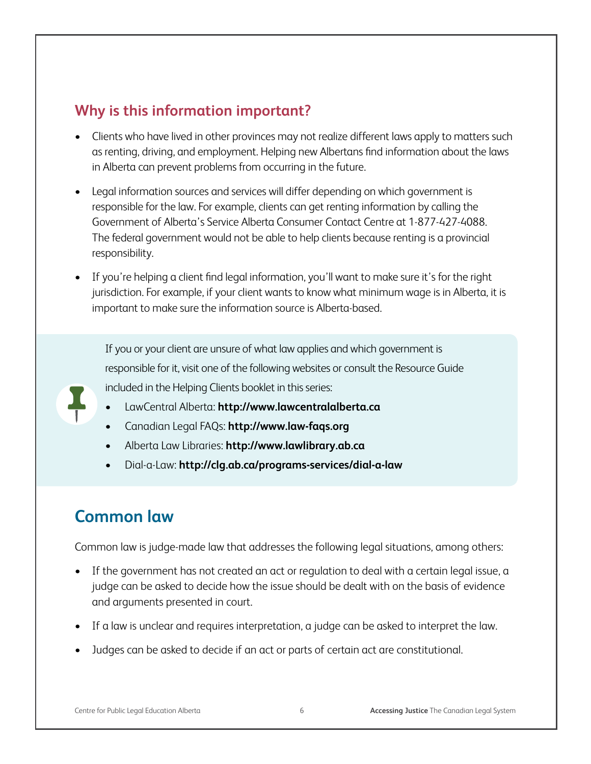#### **Why is this information important?**

- Clients who have lived in other provinces may not realize different laws apply to matters such as renting, driving, and employment. Helping new Albertans find information about the laws in Alberta can prevent problems from occurring in the future.
- Legal information sources and services will differ depending on which government is responsible for the law. For example, clients can get renting information by calling the Government of Alberta's Service Alberta Consumer Contact Centre at 1-877-427-4088. The federal government would not be able to help clients because renting is a provincial responsibility.
- If you're helping a client find legal information, you'll want to make sure it's for the right jurisdiction. For example, if your client wants to know what minimum wage is in Alberta, it is important to make sure the information source is Alberta-based.

If you or your client are unsure of what law applies and which government is responsible for it, visit one of the following websites or consult the Resource Guide included in the Helping Clients booklet in this series:

- LawCentral Alberta: http://www.lawcentralalberta.ca
- • Canadian Legal FAQs: **http://www.law-faqs.org**
- Alberta Law Libraries: http://www.lawlibrary.ab.ca
- • Dial-a-Law: **http://clg.ab.ca/programs-services/dial-a-law**

### **Common law**

Common law is judge-made law that addresses the following legal situations, among others:

- If the government has not created an act or regulation to deal with a certain legal issue, a judge can be asked to decide how the issue should be dealt with on the basis of evidence and arguments presented in court.
- If a law is unclear and requires interpretation, a judge can be asked to interpret the law.
- Judges can be asked to decide if an act or parts of certain act are constitutional.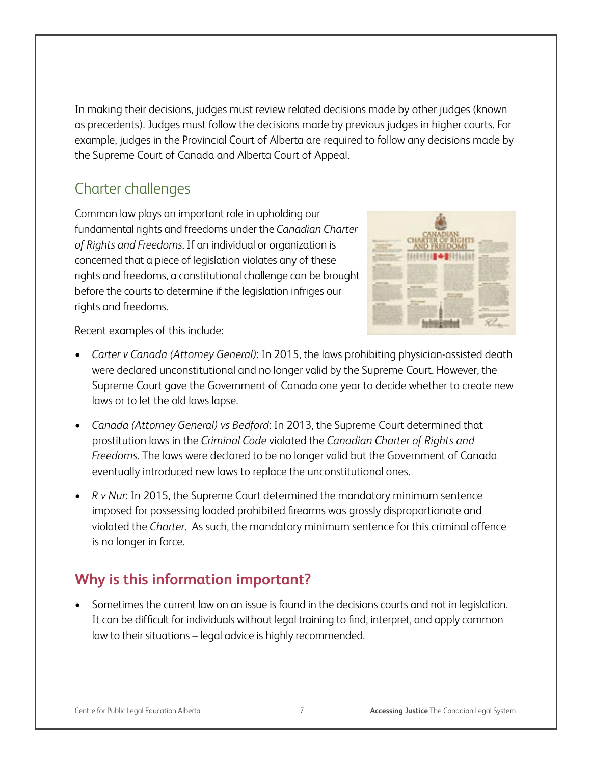In making their decisions, judges must review related decisions made by other judges (known as precedents). Judges must follow the decisions made by previous judges in higher courts. For example, judges in the Provincial Court of Alberta are required to follow any decisions made by the Supreme Court of Canada and Alberta Court of Appeal.

#### Charter challenges

Common law plays an important role in upholding our fundamental rights and freedoms under the *Canadian Charter of Rights and Freedoms*. If an individual or organization is concerned that a piece of legislation violates any of these rights and freedoms, a constitutional challenge can be brought before the courts to determine if the legislation infriges our rights and freedoms.



Recent examples of this include:

- • *Carter v Canada (Attorney General)*: In 2015, the laws prohibiting physician-assisted death were declared unconstitutional and no longer valid by the Supreme Court. However, the Supreme Court gave the Government of Canada one year to decide whether to create new laws or to let the old laws lapse.
- • *Canada (Attorney General) vs Bedford*: In 2013, the Supreme Court determined that prostitution laws in the *Criminal Code* violated the *Canadian Charter of Rights and Freedoms*. The laws were declared to be no longer valid but the Government of Canada eventually introduced new laws to replace the unconstitutional ones.
- • *R v Nur*: In 2015, the Supreme Court determined the mandatory minimum sentence imposed for possessing loaded prohibited firearms was grossly disproportionate and violated the *Charter*. As such, the mandatory minimum sentence for this criminal offence is no longer in force.

#### **Why is this information important?**

Sometimes the current law on an issue is found in the decisions courts and not in legislation. It can be difficult for individuals without legal training to find, interpret, and apply common law to their situations – legal advice is highly recommended.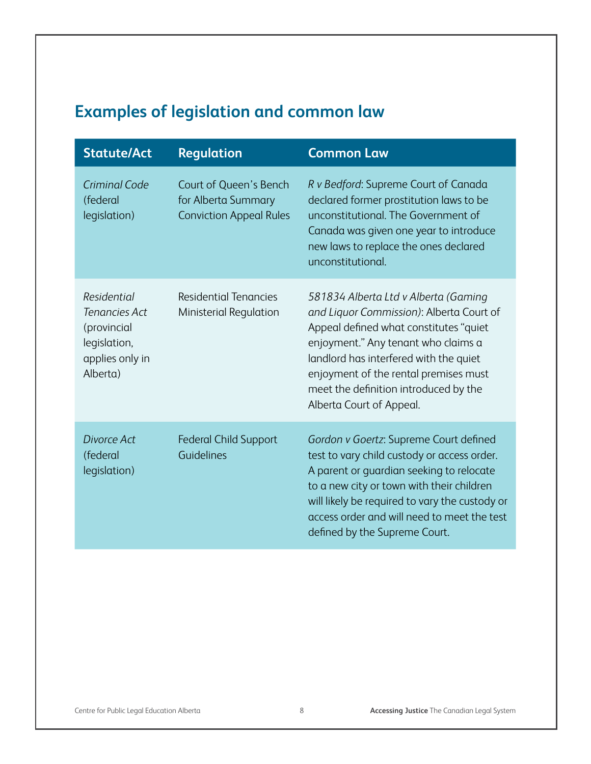# **Examples of legislation and common law**

| <b>Statute/Act</b>                                                                         | <b>Regulation</b>                                                               | <b>Common Law</b>                                                                                                                                                                                                                                                                                                         |
|--------------------------------------------------------------------------------------------|---------------------------------------------------------------------------------|---------------------------------------------------------------------------------------------------------------------------------------------------------------------------------------------------------------------------------------------------------------------------------------------------------------------------|
| Criminal Code<br>(federal<br>legislation)                                                  | Court of Queen's Bench<br>for Alberta Summary<br><b>Conviction Appeal Rules</b> | R v Bedford: Supreme Court of Canada<br>declared former prostitution laws to be<br>unconstitutional. The Government of<br>Canada was given one year to introduce<br>new laws to replace the ones declared<br>unconstitutional.                                                                                            |
| Residential<br>Tenancies Act<br>(provincial<br>legislation,<br>applies only in<br>Alberta) | <b>Residential Tenancies</b><br>Ministerial Regulation                          | 581834 Alberta Ltd v Alberta (Gaming<br>and Liquor Commission): Alberta Court of<br>Appeal defined what constitutes "quiet<br>enjoyment." Any tenant who claims a<br>landlord has interfered with the quiet<br>enjoyment of the rental premises must<br>meet the definition introduced by the<br>Alberta Court of Appeal. |
| Divorce Act<br>(federal<br>legislation)                                                    | <b>Federal Child Support</b><br>Guidelines                                      | Gordon v Goertz: Supreme Court defined<br>test to vary child custody or access order.<br>A parent or guardian seeking to relocate<br>to a new city or town with their children<br>will likely be required to vary the custody or<br>access order and will need to meet the test<br>defined by the Supreme Court.          |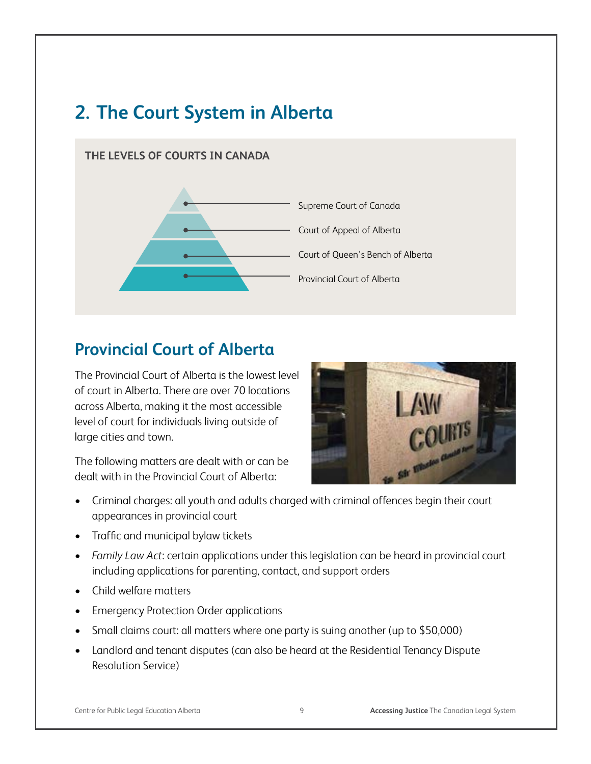# **2. The Court System in Alberta**

#### **The Levels of courts in Canada**



# **Provincial Court of Alberta**

The Provincial Court of Alberta is the lowest level of court in Alberta. There are over 70 locations across Alberta, making it the most accessible level of court for individuals living outside of large cities and town.

The following matters are dealt with or can be dealt with in the Provincial Court of Alberta:



- • Criminal charges: all youth and adults charged with criminal offences begin their court appearances in provincial court
- • Traffic and municipal bylaw tickets
- *Family Law Act:* certain applications under this legislation can be heard in provincial court including applications for parenting, contact, and support orders
- • Child welfare matters
- Emergency Protection Order applications
- Small claims court: all matters where one party is suing another (up to \$50,000)
- Landlord and tenant disputes (can also be heard at the Residential Tenancy Dispute Resolution Service)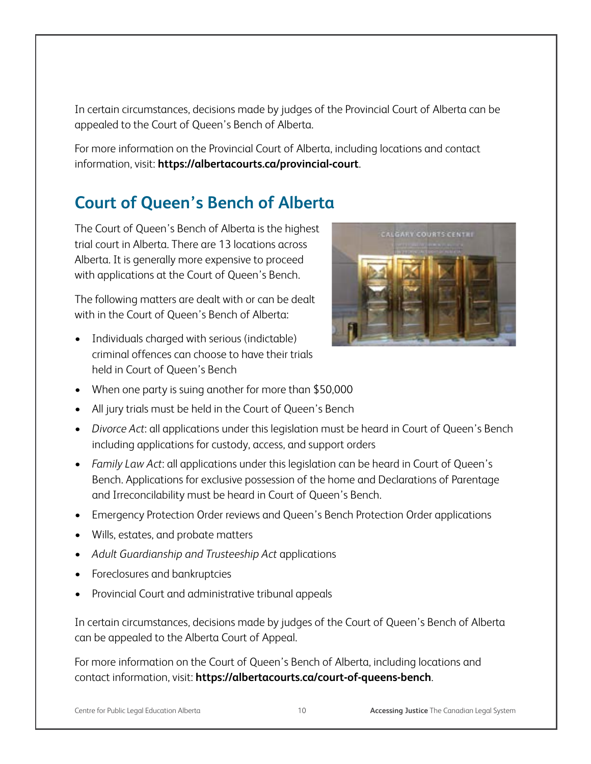In certain circumstances, decisions made by judges of the Provincial Court of Alberta can be appealed to the Court of Queen's Bench of Alberta.

For more information on the Provincial Court of Alberta, including locations and contact information, visit: **https://albertacourts.ca/provincial-court**.

# **Court of Queen's Bench of Alberta**

The Court of Queen's Bench of Alberta is the highest trial court in Alberta. There are 13 locations across Alberta. It is generally more expensive to proceed with applications at the Court of Queen's Bench.

The following matters are dealt with or can be dealt with in the Court of Queen's Bench of Alberta:

- Individuals charged with serious (indictable) criminal offences can choose to have their trials held in Court of Queen's Bench
- When one party is suing another for more than \$50,000
- All jury trials must be held in the Court of Queen's Bench
- *Divorce Act:* all applications under this legislation must be heard in Court of Queen's Bench including applications for custody, access, and support orders
- *Family Law Act:* all applications under this legislation can be heard in Court of Queen's Bench. Applications for exclusive possession of the home and Declarations of Parentage and Irreconcilability must be heard in Court of Queen's Bench.
- Emergency Protection Order reviews and Queen's Bench Protection Order applications
- Wills, estates, and probate matters
- • *Adult Guardianship and Trusteeship Act* applications
- Foreclosures and bankruptcies
- Provincial Court and administrative tribunal appeals

In certain circumstances, decisions made by judges of the Court of Queen's Bench of Alberta can be appealed to the Alberta Court of Appeal.

For more information on the Court of Queen's Bench of Alberta, including locations and contact information, visit: **https://albertacourts.ca/court-of-queens-bench**.

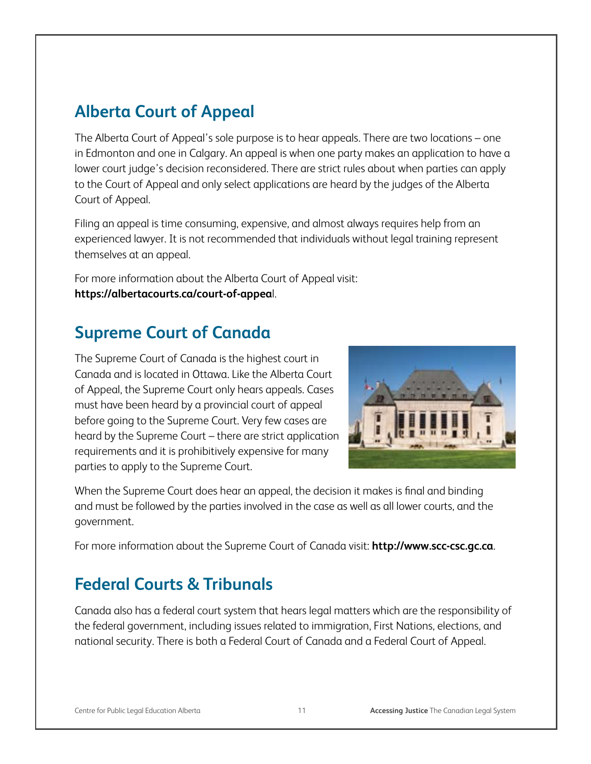## **Alberta Court of Appeal**

The Alberta Court of Appeal's sole purpose is to hear appeals. There are two locations – one in Edmonton and one in Calgary. An appeal is when one party makes an application to have a lower court judge's decision reconsidered. There are strict rules about when parties can apply to the Court of Appeal and only select applications are heard by the judges of the Alberta Court of Appeal.

Filing an appeal is time consuming, expensive, and almost always requires help from an experienced lawyer. It is not recommended that individuals without legal training represent themselves at an appeal.

For more information about the Alberta Court of Appeal visit: **https://albertacourts.ca/court-of-appea**l.

## **Supreme Court of Canada**

The Supreme Court of Canada is the highest court in Canada and is located in Ottawa. Like the Alberta Court of Appeal, the Supreme Court only hears appeals. Cases must have been heard by a provincial court of appeal before going to the Supreme Court. Very few cases are heard by the Supreme Court – there are strict application requirements and it is prohibitively expensive for many parties to apply to the Supreme Court.



When the Supreme Court does hear an appeal, the decision it makes is final and binding and must be followed by the parties involved in the case as well as all lower courts, and the government.

For more information about the Supreme Court of Canada visit: **http://www.scc-csc.gc.ca**.

# **Federal Courts & Tribunals**

Canada also has a federal court system that hears legal matters which are the responsibility of the federal government, including issues related to immigration, First Nations, elections, and national security. There is both a Federal Court of Canada and a Federal Court of Appeal.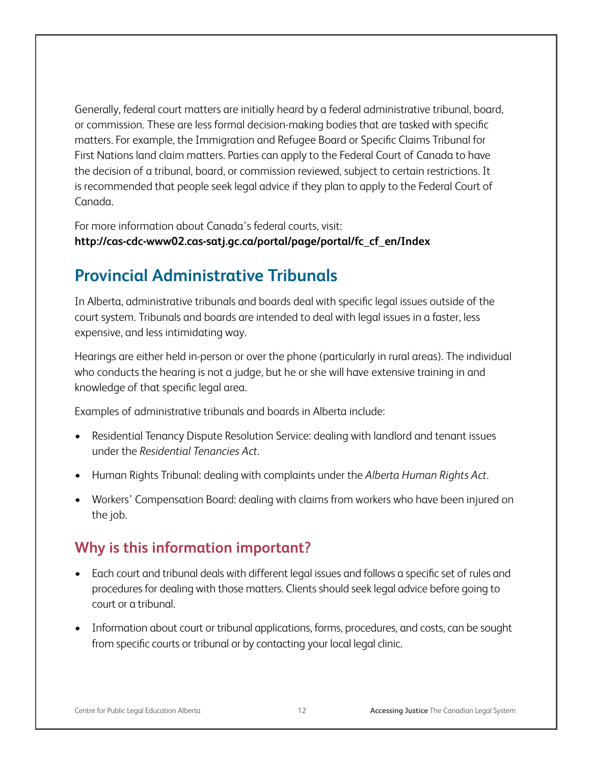Generally, federal court matters are initially heard by a federal administrative tribunal, board, or commission. These are less formal decision-making bodies that are tasked with specific matters. For example, the Immigration and Refugee Board or Specific Claims Tribunal for First Nations land claim matters. Parties can apply to the Federal Court of Canada to have the decision of a tribunal, board, or commission reviewed, subject to certain restrictions. It is recommended that people seek legal advice if they plan to apply to the Federal Court of Canada.

For more information about Canada's federal courts, visit: **http://cas-cdc-www02.cas-satj.gc.ca/portal/page/portal/fc\_cf\_en/Index** 

### **Provincial Administrative Tribunals**

In Alberta, administrative tribunals and boards deal with specific legal issues outside of the court system. Tribunals and boards are intended to deal with legal issues in a faster, less expensive, and less intimidating way.

Hearings are either held in-person or over the phone (particularly in rural areas). The individual who conducts the hearing is not a judge, but he or she will have extensive training in and knowledge of that specific legal area.

Examples of administrative tribunals and boards in Alberta include:

- Residential Tenancy Dispute Resolution Service: dealing with landlord and tenant issues under the *Residential Tenancies Act*.
- • Human Rights Tribunal: dealing with complaints under the *Alberta Human Rights Act*.
- Workers' Compensation Board: dealing with claims from workers who have been injured on the job.

#### **Why is this information important?**

- Each court and tribunal deals with different legal issues and follows a specific set of rules and procedures for dealing with those matters. Clients should seek legal advice before going to court or a tribunal.
- Information about court or tribunal applications, forms, procedures, and costs, can be sought from specific courts or tribunal or by contacting your local legal clinic.